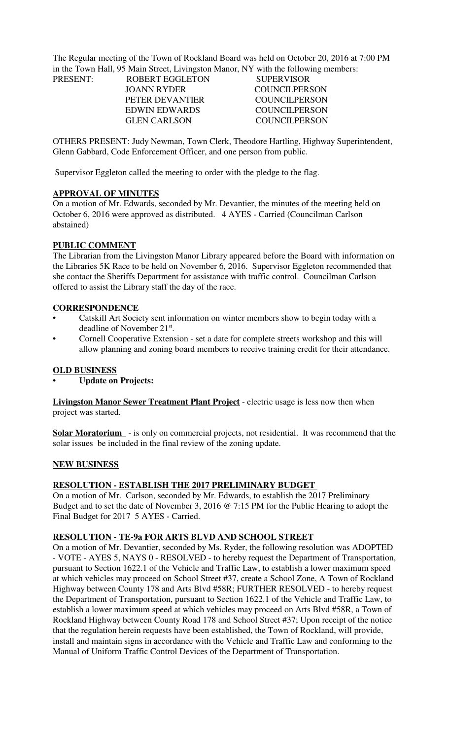The Regular meeting of the Town of Rockland Board was held on October 20, 2016 at 7:00 PM in the Town Hall, 95 Main Street, Livingston Manor, NY with the following members:

| <b>PRESENT:</b> | <b>ROBERT EGGLETON</b> | <b>SUPERVISOR</b>    |
|-----------------|------------------------|----------------------|
|                 | JOANN RYDER            | <b>COUNCILPERSON</b> |
|                 | PETER DEVANTIER        | COUNCIL PERSON       |
|                 | <b>EDWIN EDWARDS</b>   | COUNCIL PERSON       |
|                 | <b>GLEN CARLSON</b>    | COUNCILPERSON        |
|                 |                        |                      |

OTHERS PRESENT: Judy Newman, Town Clerk, Theodore Hartling, Highway Superintendent, Glenn Gabbard, Code Enforcement Officer, and one person from public.

Supervisor Eggleton called the meeting to order with the pledge to the flag.

### **APPROVAL OF MINUTES**

On a motion of Mr. Edwards, seconded by Mr. Devantier, the minutes of the meeting held on October 6, 2016 were approved as distributed. 4 AYES - Carried (Councilman Carlson abstained)

### **PUBLIC COMMENT**

The Librarian from the Livingston Manor Library appeared before the Board with information on the Libraries 5K Race to be held on November 6, 2016. Supervisor Eggleton recommended that she contact the Sheriffs Department for assistance with traffic control. Councilman Carlson offered to assist the Library staff the day of the race.

#### **CORRESPONDENCE**

- Catskill Art Society sent information on winter members show to begin today with a deadline of November 21<sup>st</sup>.
- Cornell Cooperative Extension set a date for complete streets workshop and this will allow planning and zoning board members to receive training credit for their attendance.

#### **OLD BUSINESS**

• **Update on Projects:**

**Livingston Manor Sewer Treatment Plant Project** - electric usage is less now then when project was started.

**Solar Moratorium** - is only on commercial projects, not residential. It was recommend that the solar issues be included in the final review of the zoning update.

#### **NEW BUSINESS**

### **RESOLUTION - ESTABLISH THE 2017 PRELIMINARY BUDGET**

On a motion of Mr. Carlson, seconded by Mr. Edwards, to establish the 2017 Preliminary Budget and to set the date of November 3, 2016 @ 7:15 PM for the Public Hearing to adopt the Final Budget for 2017 5 AYES - Carried.

### **RESOLUTION - TE-9a FOR ARTS BLVD AND SCHOOL STREET**

On a motion of Mr. Devantier, seconded by Ms. Ryder, the following resolution was ADOPTED - VOTE - AYES 5, NAYS 0 - RESOLVED - to hereby request the Department of Transportation, pursuant to Section 1622.1 of the Vehicle and Traffic Law, to establish a lower maximum speed at which vehicles may proceed on School Street #37, create a School Zone, A Town of Rockland Highway between County 178 and Arts Blvd #58R; FURTHER RESOLVED - to hereby request the Department of Transportation, pursuant to Section 1622.1 of the Vehicle and Traffic Law, to establish a lower maximum speed at which vehicles may proceed on Arts Blvd #58R, a Town of Rockland Highway between County Road 178 and School Street #37; Upon receipt of the notice that the regulation herein requests have been established, the Town of Rockland, will provide, install and maintain signs in accordance with the Vehicle and Traffic Law and conforming to the Manual of Uniform Traffic Control Devices of the Department of Transportation.